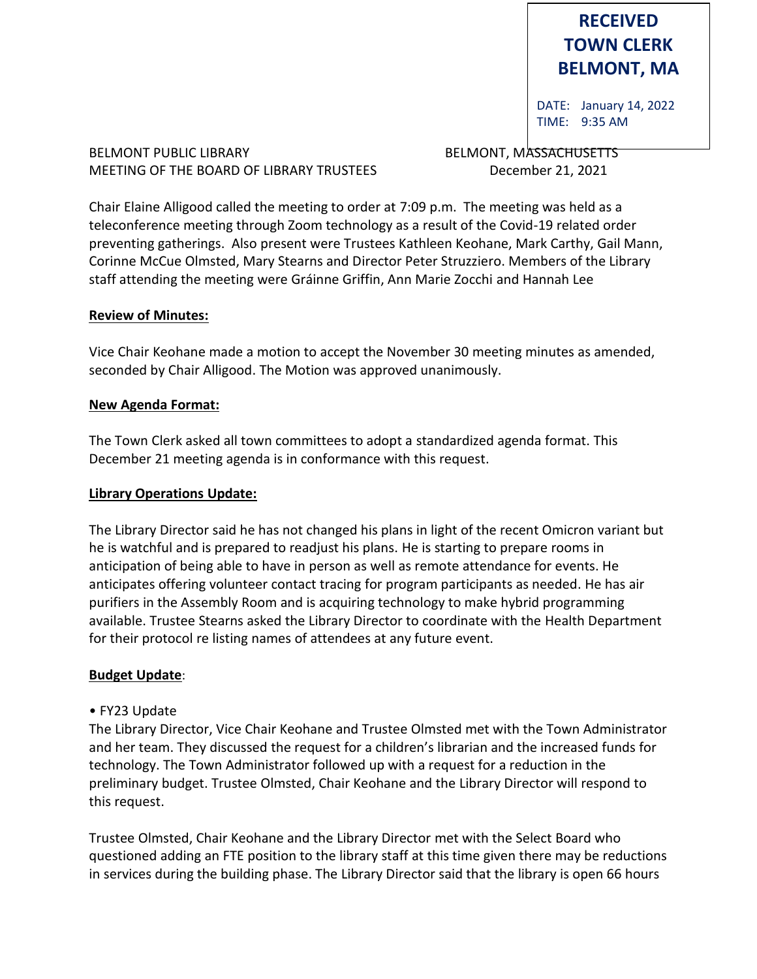# **RECEIVED TOWN CLERK BELMONT, MA**

DATE: January 14, 2022 TIME: 9:35 AM

#### BELMONT PUBLIC LIBRARY **BELMONT, MASSACHUSETTS** MEETING OF THE BOARD OF LIBRARY TRUSTEES December 21, 2021

Chair Elaine Alligood called the meeting to order at 7:09 p.m. The meeting was held as a teleconference meeting through Zoom technology as a result of the Covid-19 related order preventing gatherings. Also present were Trustees Kathleen Keohane, Mark Carthy, Gail Mann, Corinne McCue Olmsted, Mary Stearns and Director Peter Struzziero. Members of the Library staff attending the meeting were Gráinne Griffin, Ann Marie Zocchi and Hannah Lee

#### **Review of Minutes:**

Vice Chair Keohane made a motion to accept the November 30 meeting minutes as amended, seconded by Chair Alligood. The Motion was approved unanimously.

#### **New Agenda Format:**

The Town Clerk asked all town committees to adopt a standardized agenda format. This December 21 meeting agenda is in conformance with this request.

#### **Library Operations Update:**

The Library Director said he has not changed his plans in light of the recent Omicron variant but he is watchful and is prepared to readjust his plans. He is starting to prepare rooms in anticipation of being able to have in person as well as remote attendance for events. He anticipates offering volunteer contact tracing for program participants as needed. He has air purifiers in the Assembly Room and is acquiring technology to make hybrid programming available. Trustee Stearns asked the Library Director to coordinate with the Health Department for their protocol re listing names of attendees at any future event.

# **Budget Update**:

# • FY23 Update

The Library Director, Vice Chair Keohane and Trustee Olmsted met with the Town Administrator and her team. They discussed the request for a children's librarian and the increased funds for technology. The Town Administrator followed up with a request for a reduction in the preliminary budget. Trustee Olmsted, Chair Keohane and the Library Director will respond to this request.

Trustee Olmsted, Chair Keohane and the Library Director met with the Select Board who questioned adding an FTE position to the library staff at this time given there may be reductions in services during the building phase. The Library Director said that the library is open 66 hours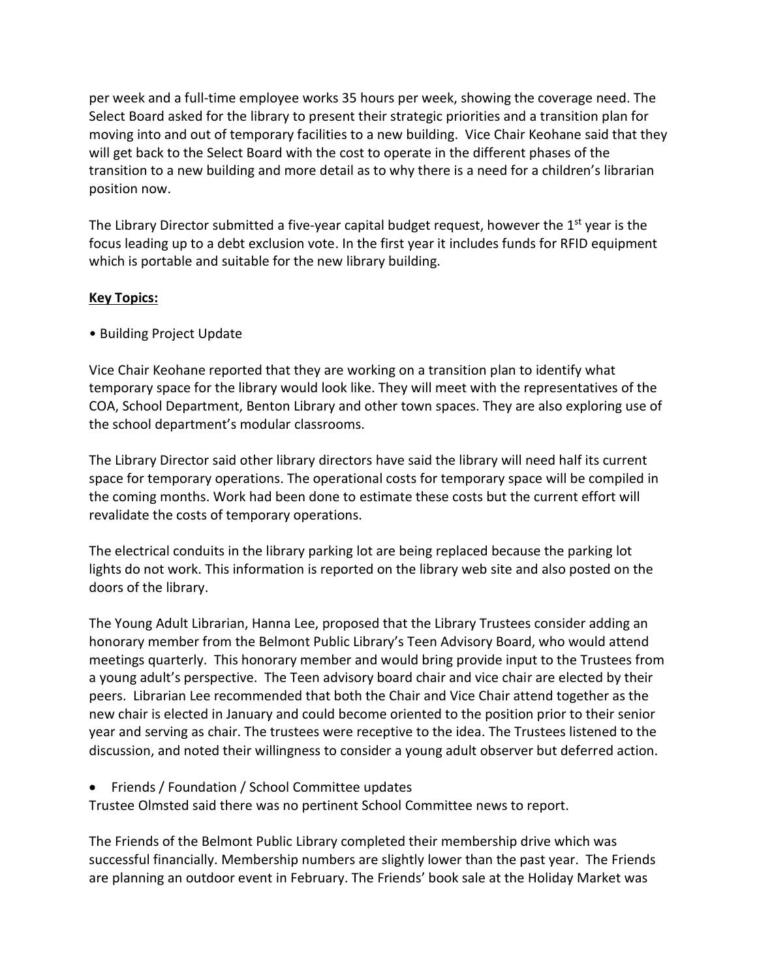per week and a full-time employee works 35 hours per week, showing the coverage need. The Select Board asked for the library to present their strategic priorities and a transition plan for moving into and out of temporary facilities to a new building. Vice Chair Keohane said that they will get back to the Select Board with the cost to operate in the different phases of the transition to a new building and more detail as to why there is a need for a children's librarian position now.

The Library Director submitted a five-year capital budget request, however the 1<sup>st</sup> year is the focus leading up to a debt exclusion vote. In the first year it includes funds for RFID equipment which is portable and suitable for the new library building.

# **Key Topics:**

• Building Project Update

Vice Chair Keohane reported that they are working on a transition plan to identify what temporary space for the library would look like. They will meet with the representatives of the COA, School Department, Benton Library and other town spaces. They are also exploring use of the school department's modular classrooms.

The Library Director said other library directors have said the library will need half its current space for temporary operations. The operational costs for temporary space will be compiled in the coming months. Work had been done to estimate these costs but the current effort will revalidate the costs of temporary operations.

The electrical conduits in the library parking lot are being replaced because the parking lot lights do not work. This information is reported on the library web site and also posted on the doors of the library.

The Young Adult Librarian, Hanna Lee, proposed that the Library Trustees consider adding an honorary member from the Belmont Public Library's Teen Advisory Board, who would attend meetings quarterly. This honorary member and would bring provide input to the Trustees from a young adult's perspective. The Teen advisory board chair and vice chair are elected by their peers. Librarian Lee recommended that both the Chair and Vice Chair attend together as the new chair is elected in January and could become oriented to the position prior to their senior year and serving as chair. The trustees were receptive to the idea. The Trustees listened to the discussion, and noted their willingness to consider a young adult observer but deferred action.

• Friends / Foundation / School Committee updates

Trustee Olmsted said there was no pertinent School Committee news to report.

The Friends of the Belmont Public Library completed their membership drive which was successful financially. Membership numbers are slightly lower than the past year. The Friends are planning an outdoor event in February. The Friends' book sale at the Holiday Market was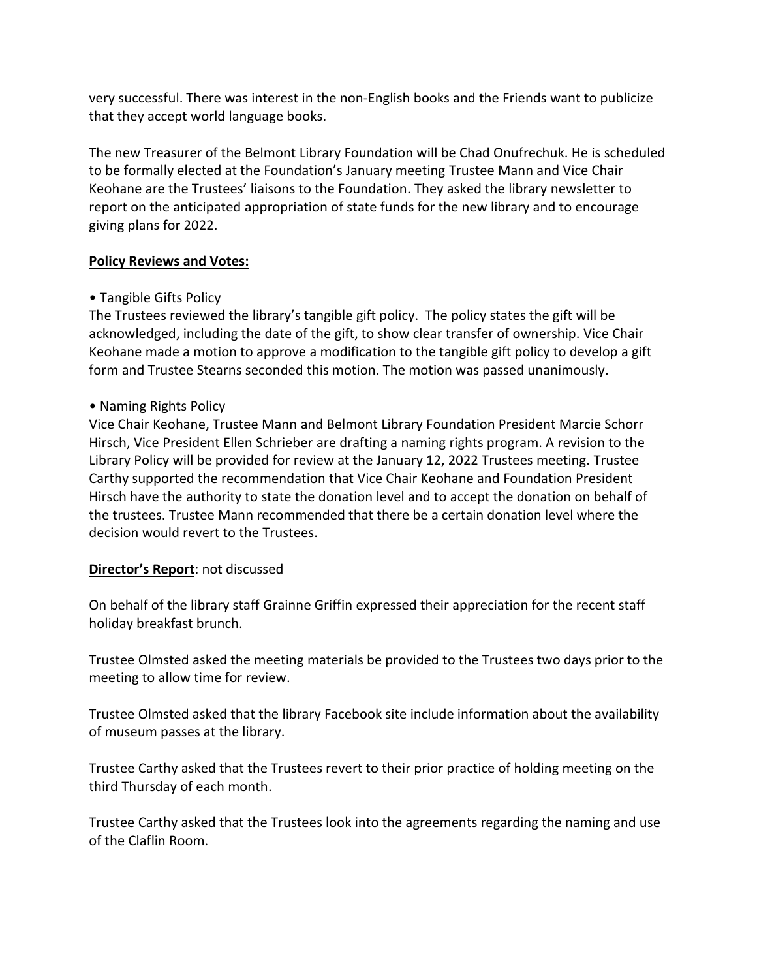very successful. There was interest in the non-English books and the Friends want to publicize that they accept world language books.

The new Treasurer of the Belmont Library Foundation will be Chad Onufrechuk. He is scheduled to be formally elected at the Foundation's January meeting Trustee Mann and Vice Chair Keohane are the Trustees' liaisons to the Foundation. They asked the library newsletter to report on the anticipated appropriation of state funds for the new library and to encourage giving plans for 2022.

# **Policy Reviews and Votes:**

# • Tangible Gifts Policy

The Trustees reviewed the library's tangible gift policy. The policy states the gift will be acknowledged, including the date of the gift, to show clear transfer of ownership. Vice Chair Keohane made a motion to approve a modification to the tangible gift policy to develop a gift form and Trustee Stearns seconded this motion. The motion was passed unanimously.

# • Naming Rights Policy

Vice Chair Keohane, Trustee Mann and Belmont Library Foundation President Marcie Schorr Hirsch, Vice President Ellen Schrieber are drafting a naming rights program. A revision to the Library Policy will be provided for review at the January 12, 2022 Trustees meeting. Trustee Carthy supported the recommendation that Vice Chair Keohane and Foundation President Hirsch have the authority to state the donation level and to accept the donation on behalf of the trustees. Trustee Mann recommended that there be a certain donation level where the decision would revert to the Trustees.

# **Director's Report**: not discussed

On behalf of the library staff Grainne Griffin expressed their appreciation for the recent staff holiday breakfast brunch.

Trustee Olmsted asked the meeting materials be provided to the Trustees two days prior to the meeting to allow time for review.

Trustee Olmsted asked that the library Facebook site include information about the availability of museum passes at the library.

Trustee Carthy asked that the Trustees revert to their prior practice of holding meeting on the third Thursday of each month.

Trustee Carthy asked that the Trustees look into the agreements regarding the naming and use of the Claflin Room.